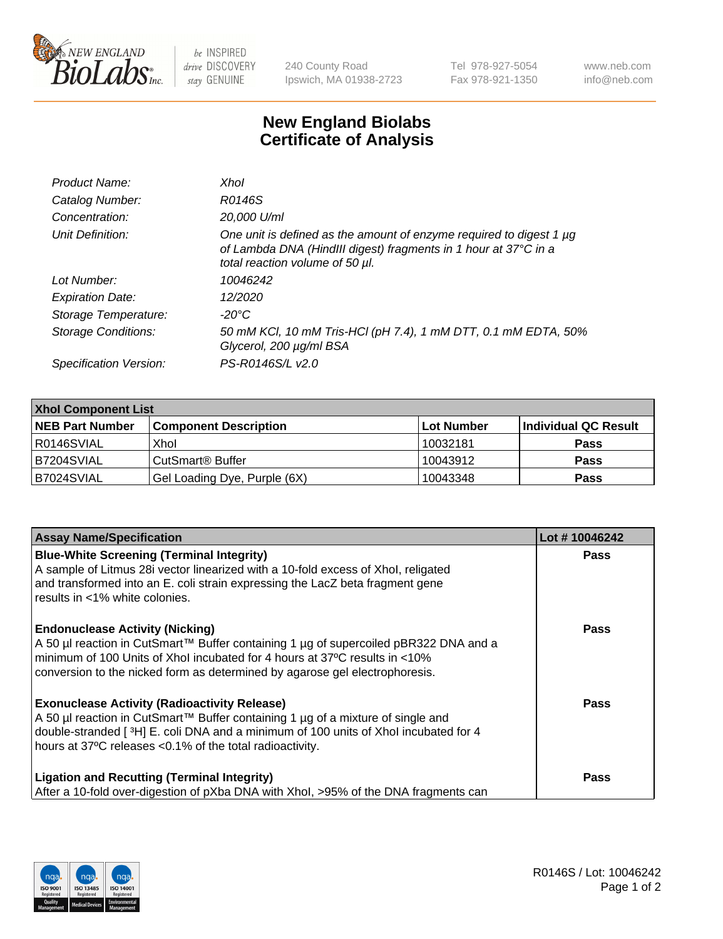

 $be$  INSPIRED drive DISCOVERY stay GENUINE

240 County Road Ipswich, MA 01938-2723 Tel 978-927-5054 Fax 978-921-1350 www.neb.com info@neb.com

## **New England Biolabs Certificate of Analysis**

| Product Name:              | Xhol                                                                                                                                                                      |
|----------------------------|---------------------------------------------------------------------------------------------------------------------------------------------------------------------------|
| Catalog Number:            | R0146S                                                                                                                                                                    |
| Concentration:             | 20,000 U/ml                                                                                                                                                               |
| Unit Definition:           | One unit is defined as the amount of enzyme required to digest 1 µg<br>of Lambda DNA (HindIII digest) fragments in 1 hour at 37°C in a<br>total reaction volume of 50 µl. |
| Lot Number:                | 10046242                                                                                                                                                                  |
| <b>Expiration Date:</b>    | 12/2020                                                                                                                                                                   |
| Storage Temperature:       | -20°C                                                                                                                                                                     |
| <b>Storage Conditions:</b> | 50 mM KCl, 10 mM Tris-HCl (pH 7.4), 1 mM DTT, 0.1 mM EDTA, 50%<br>Glycerol, 200 µg/ml BSA                                                                                 |
| Specification Version:     | PS-R0146S/L v2.0                                                                                                                                                          |

| <b>Xhol Component List</b> |                              |             |                      |  |  |
|----------------------------|------------------------------|-------------|----------------------|--|--|
| <b>NEB Part Number</b>     | <b>Component Description</b> | ∣Lot Number | Individual QC Result |  |  |
| R0146SVIAL                 | Xhol                         | 10032181    | <b>Pass</b>          |  |  |
| B7204SVIAL                 | CutSmart® Buffer             | 10043912    | <b>Pass</b>          |  |  |
| B7024SVIAL                 | Gel Loading Dye, Purple (6X) | 10043348    | <b>Pass</b>          |  |  |

| <b>Assay Name/Specification</b>                                                                                                                                                                                                                                                             | Lot #10046242 |
|---------------------------------------------------------------------------------------------------------------------------------------------------------------------------------------------------------------------------------------------------------------------------------------------|---------------|
| <b>Blue-White Screening (Terminal Integrity)</b><br>A sample of Litmus 28i vector linearized with a 10-fold excess of Xhol, religated                                                                                                                                                       | <b>Pass</b>   |
| and transformed into an E. coli strain expressing the LacZ beta fragment gene<br>results in <1% white colonies.                                                                                                                                                                             |               |
| <b>Endonuclease Activity (Nicking)</b><br>A 50 µl reaction in CutSmart™ Buffer containing 1 µg of supercoiled pBR322 DNA and a<br>minimum of 100 Units of Xhol incubated for 4 hours at 37°C results in <10%<br>conversion to the nicked form as determined by agarose gel electrophoresis. | <b>Pass</b>   |
| <b>Exonuclease Activity (Radioactivity Release)</b><br>A 50 µl reaction in CutSmart™ Buffer containing 1 µg of a mixture of single and<br>double-stranded [3H] E. coli DNA and a minimum of 100 units of Xhol incubated for 4<br>hours at 37°C releases <0.1% of the total radioactivity.   | <b>Pass</b>   |
| <b>Ligation and Recutting (Terminal Integrity)</b><br>After a 10-fold over-digestion of pXba DNA with Xhol, >95% of the DNA fragments can                                                                                                                                                   | Pass          |